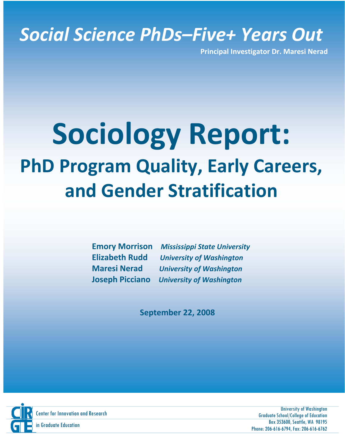# *Social Science PhDs–Five+ Years Out*

**Principal Investigator Dr. Maresi Nerad**

# $\mathcal{S}$  science, and sociology. The survey yielded career and family data spanning the time that  $\mathcal{S}$ from the beginning of graduate school to 6 to 10 years post-PhD and retrospective **Sociology Report:** D Drogram Quality, Early C **PhD Program Quality, Early Careers,** to transition into stabilize  $\mathbf{r}$  and not part-time  $\mathbf{r}$ those wanting to be a professor wanting to be a proper a faculty position with 3.5% had obtained a faculty pos **and Gender Stratification**

as research and critical thinking. R tings were much lower for pro a fessional skills such **Emory Morrison** *Mississippi State University* **Elizabeth Rudd** *Construction University of Washington* **Maresi Nerad** *Maresian University of Washington Maresian Maresian Maresian Maresian Maresian Maresian Maresian Maresian Maresian Maresian Maresian Maresian Maresian Maresian Maresian Maresian Maresian Maresian Mares* **Motor 2008 Intervals and men to give high marks to give high marks to give high marks to give high marks to the intervals to the intervals of** *Washington* **and the intervals of** *Washington* program for training in writing and publishi g. n

way for men and women. Respondents who became a parent before earning the parent before earning the second before PhD were less likely to be in faculty positions than others. For women, the optimal **September 22, 2008**



Center for Innovation – www.circuite.com Innovation – www.cirge.washington.education – www.cirge.washington.edu University of Washington Graduate School/College of Education Box 353600, Seattle, WA 98195 Phone: 206-616-6794, Fax: 206-616-6762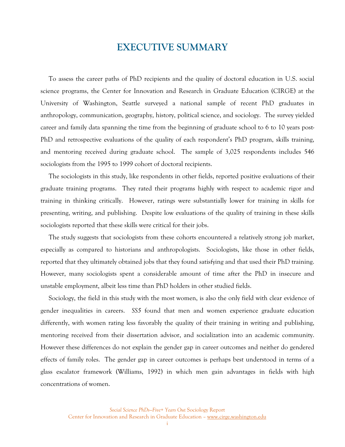# **EXECUTIVE SUMMARY**

To assess the career paths of PhD recipients and the quality of doctoral education in U.S. social science programs, the Center for Innovation and Research in Graduate Education (CIRGE) at the University of Washington, Seattle surveyed a national sample of recent PhD graduates in anthropology, communication, geography, history, political science, and sociology. The survey yielded career and family data spanning the time from the beginning of graduate school to 6 to 10 years post-PhD and retrospective evaluations of the quality of each respondent's PhD program, skills training, and mentoring received during graduate school. The sample of 3,025 respondents includes 546 sociologists from the 1995 to 1999 cohort of doctoral recipients.

The sociologists in this study, like respondents in other fields, reported positive evaluations of their graduate training programs. They rated their programs highly with respect to academic rigor and training in thinking critically. However, ratings were substantially lower for training in skills for presenting, writing, and publishing. Despite low evaluations of the quality of training in these skills sociologists reported that these skills were critical for their jobs.

The study suggests that sociologists from these cohorts encountered a relatively strong job market, especially as compared to historians and anthropologists. Sociologists, like those in other fields, reported that they ultimately obtained jobs that they found satisfying and that used their PhD training. However, many sociologists spent a considerable amount of time after the PhD in insecure and unstable employment, albeit less time than PhD holders in other studied fields.

Sociology, the field in this study with the most women, is also the only field with clear evidence of gender inequalities in careers. *SS5* found that men and women experience graduate education differently, with women rating less favorably the quality of their training in writing and publishing, mentoring received from their dissertation advisor, and socialization into an academic community. However these differences do not explain the gender gap in career outcomes and neither do gendered effects of family roles. The gender gap in career outcomes is perhaps best understood in terms of a glass escalator framework (Williams, 1992) in which men gain advantages in fields with high concentrations of women.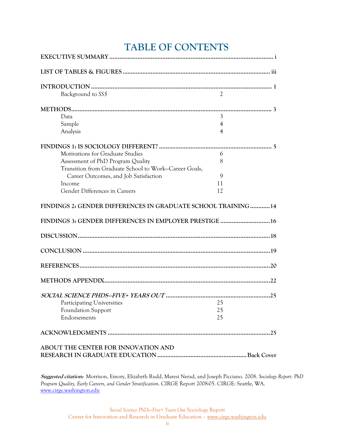# **TABLE OF CONTENTS**

| Background to SS5                                            | $\overline{c}$ |  |
|--------------------------------------------------------------|----------------|--|
|                                                              |                |  |
| Data                                                         | 3              |  |
| Sample                                                       | 4              |  |
| Analysis                                                     | 4              |  |
|                                                              |                |  |
| Motivations for Graduate Studies                             | 6              |  |
| Assessment of PhD Program Quality                            | 8              |  |
| Transition from Graduate School to Work-Career Goals,        |                |  |
| Career Outcomes, and Job Satisfaction                        | 9              |  |
| Income                                                       | 11             |  |
| Gender Differences in Careers                                | 12             |  |
| FINDINGS 2: GENDER DIFFERENCES IN GRADUATE SCHOOL TRAINING14 |                |  |
| FINDINGS 3: GENDER DIFFERENCES IN EMPLOYER PRESTIGE  16      |                |  |
|                                                              |                |  |
|                                                              |                |  |
|                                                              |                |  |
|                                                              |                |  |
|                                                              |                |  |
| <b>Participating Universities</b>                            | 25             |  |
| Foundation Support                                           | 25             |  |
| Endorsements                                                 | 25             |  |
|                                                              |                |  |
| ABOUT THE CENTER FOR INNOVATION AND                          |                |  |
|                                                              |                |  |

**Suggested citation:** Morrison, Emory, Elizabeth Rudd, Maresi Nerad, and Joseph Picciano. 2008. *Sociology Report: PhD Program Quality, Early Careers, and Gender Stratification*. CIRGE Report 2008-05. CIRGE: Seattle, WA. [www.cirge.washington.edu](http://www.cirge.washington.edu/)

> *Social Science PhDs—Five+ Years Out* Sociology Report Center for Innovation and Research in Graduate Education – www.cirge.washington.edu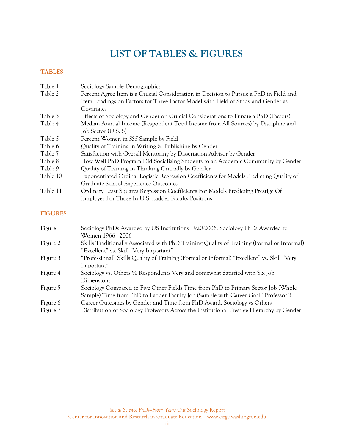# **LIST OF TABLES & FIGURES**

# **TABLES**

| Table 1              | Sociology Sample Demographics                                                                                                                                               |
|----------------------|-----------------------------------------------------------------------------------------------------------------------------------------------------------------------------|
| Table 2              | Percent Agree Item is a Crucial Consideration in Decision to Pursue a PhD in Field and<br>Item Loadings on Factors for Three Factor Model with Field of Study and Gender as |
|                      | Covariates                                                                                                                                                                  |
| Table 3              | Effects of Sociology and Gender on Crucial Considerations to Pursue a PhD (Factors)                                                                                         |
| Table 4              | Median Annual Income (Respondent Total Income from All Sources) by Discipline and<br>Job Sector (U.S. \$)                                                                   |
| Table 5              | Percent Women in SS5 Sample by Field                                                                                                                                        |
| Table 6              | Quality of Training in Writing & Publishing by Gender                                                                                                                       |
| Table 7              | Satisfaction with Overall Mentoring by Dissertation Advisor by Gender                                                                                                       |
| Table 8              | How Well PhD Program Did Socializing Students to an Academic Community by Gender                                                                                            |
| Table 9              | Quality of Training in Thinking Critically by Gender                                                                                                                        |
| Table 10             | Exponentiated Ordinal Logistic Regression Coefficients for Models Predicting Quality of<br>Graduate School Experience Outcomes                                              |
| Table 11             | Ordinary Least Squares Regression Coefficients For Models Predicting Prestige Of<br>Employer For Those In U.S. Ladder Faculty Positions                                     |
| <b>FIGURES</b>       |                                                                                                                                                                             |
| Figure 1             | Sociology PhDs Awarded by US Institutions 1920-2006. Sociology PhDs Awarded to<br>Women 1966 - 2006                                                                         |
| $F_{\text{inner}}$ ? | Skille Traditionally Associated with PhD Training Quality of Training (Formal or Informal                                                                                   |

- Figure 2 Skills Traditionally Associated with PhD Training Quality of Training (Formal or Informal) "Excellent" vs. Skill "Very Important"
- Figure 3 "Professional" Skills Quality of Training (Formal or Informal) "Excellent" vs. Skill "Very Important"
- Figure 4 Sociology vs. Others % Respondents Very and Somewhat Satisfied with Six Job Dimensions
- Figure 5 Sociology Compared to Five Other Fields Time from PhD to Primary Sector Job (Whole Sample) Time from PhD to Ladder Faculty Job (Sample with Career Goal "Professor")
- Figure 6 Career Outcomes by Gender and Time from PhD Award. Sociology vs Others
- Figure 7 Distribution of Sociology Professors Across the Institutional Prestige Hierarchy by Gender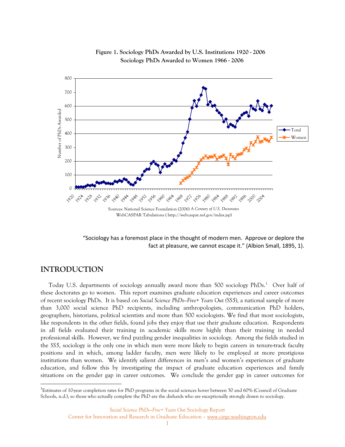

**Figure 1. Sociology PhDs Awarded by U.S. Institutions 1920 - 2006 Sociology PhDs Awarded to Women 1966 - 2006**

"Sociology has a foremost place in the thought of modern men. Approve or deplore the fact at pleasure, we cannot escape it." (Albion Small, 1895, 1).

# **INTRODUCTION**

 $\overline{a}$ 

Today U.S. departments of sociology annually award more than 500 sociology PhDs.<sup>[1](#page-5-0)</sup> Over half of these doctorates go to women. This report examines graduate education experiences and career outcomes of recent sociology PhDs. It is based on *Social Science PhDs—Five+ Years Out (SS5)*, a national sample of more than 3,000 social science PhD recipients, including anthropologists, communication PhD holders, geographers, historians, political scientists and more than 500 sociologists. We find that most sociologists, like respondents in the other fields, found jobs they enjoy that use their graduate education. Respondents in all fields evaluated their training in academic skills more highly than their training in needed professional skills. However, we find puzzling gender inequalities in sociology. Among the fields studied in the *SS5*, sociology is the only one in which men were more likely to begin careers in tenure-track faculty positions and in which, among ladder faculty, men were likely to be employed at more prestigious institutions than women. We identify salient differences in men's and women's experiences of graduate education, and follow this by investigating the impact of graduate education experiences and family situations on the gender gap in career outcomes. We conclude the gender gap in career outcomes for

<span id="page-5-0"></span><sup>&</sup>lt;sup>1</sup>Estimates of 10-year completion rates for PhD programs in the social sciences hover between 50 and 60% (Council of Graduate Schools, n.d.), so those who actually complete the PhD are the diehards who are exceptionally strongly drawn to sociology.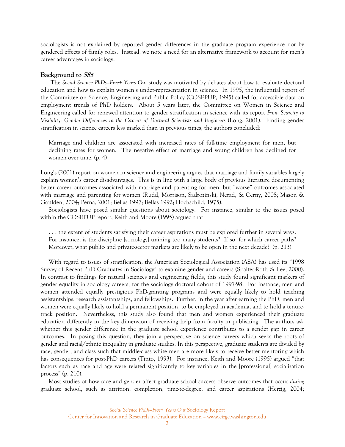sociologists is not explained by reported gender differences in the graduate program experience nor by gendered effects of family roles. Instead, we note a need for an alternative framework to account for men's career advantages in sociology.

#### **Background to SS5**

The *Social Science PhDs—Five+ Years Out* study was motivated by debates about how to evaluate doctoral education and how to explain women's under-representation in science. In 1995, the influential report of the Committee on Science, Engineering and Public Policy (COSEPUP, 1995) called for accessible data on employment trends of PhD holders. About 5 years later, the Committee on Women in Science and Engineering called for renewed attention to gender stratification in science with its report *From Scarcity to Visibility: Gender Differences in the Careers of Doctoral Scientists and Engineers* (Long, 2001). Finding gender stratification in science careers less marked than in previous times, the authors concluded:

Marriage and children are associated with increased rates of full-time employment for men, but declining rates for women. The negative effect of marriage and young children has declined for women over time. (p. 4)

Long's (2001) report on women in science and engineering argues that marriage and family variables largely explain women's career disadvantages. This is in line with a large body of previous literature documenting better career outcomes associated with marriage and parenting for men, but "worse" outcomes associated with marriage and parenting for women (Rudd, Morrison, Sadrozinski, Nerad, & Cerny, 2008; Mason & Goulden, 2004; Perna, 2001; Bellas 1997; Bellas 1992; Hochschild, 1975).

Sociologists have posed similar questions about sociology. For instance, similar to the issues posed within the COSEPUP report, Keith and Moore (1995) argued that

. . . the extent of students satisfying their career aspirations must be explored further in several ways. For instance, is the discipline [sociology] training too many students? If so, for which career paths? Moreover, what public- and private-sector markets are likely to be open in the next decade? (p. 213)

With regard to issues of stratification, the American Sociological Association (ASA) has used its "1998 Survey of Recent PhD Graduates in Sociology" to examine gender and careers (Spalter-Roth & Lee, 2000). In contrast to findings for natural sciences and engineering fields, this study found significant markers of gender equality in sociology careers, for the sociology doctoral cohort of 1997-98. For instance, men and women attended equally prestigious PhD-granting programs and were equally likely to hold teaching assistantships, research assistantships, and fellowships. Further, in the year after earning the PhD, men and women were equally likely to hold a permanent position, to be employed in academia, and to hold a tenuretrack position. Nevertheless, this study also found that men and women experienced their graduate education differently in the key dimension of receiving help from faculty in publishing. The authors ask whether this gender difference in the graduate school experience contributes to a gender gap in career outcomes. In posing this question, they join a perspective on science careers which seeks the roots of gender and racial/ethnic inequality in graduate studies. In this perspective, graduate students are divided by race, gender, and class such that middle-class white men are more likely to receive better mentoring which has consequences for post-PhD careers (Tinto, 1993). For instance, Keith and Moore (1995) argued "that factors such as race and age were related significantly to key variables in the [professional] socialization process" (p. 210).

Most studies of how race and gender affect graduate school success observe outcomes that occur *during*  graduate school, such as attrition, completion, time-to-degree, and career aspirations (Herzig, 2004;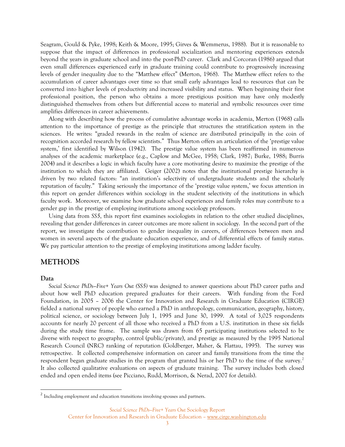Seagram, Gould & Pyke, 1998; Keith & Moore, 1995; Girves & Wemmerus, 1988). But it is reasonable to suppose that the impact of differences in professional socialization and mentoring experiences extends beyond the years in graduate school and into the post-PhD career. Clark and Corcoran (1986) argued that even small differences experienced early in graduate training could contribute to progressively increasing levels of gender inequality due to the "Matthew effect" (Merton, 1968). The Matthew effect refers to the accumulation of career advantages over time so that small early advantages lead to resources that can be converted into higher levels of productivity and increased visibility and status. When beginning their first professional position, the person who obtains a more prestigious position may have only modestly distinguished themselves from others but differential access to material and symbolic resources over time amplifies differences in career achievements.

Along with describing how the process of cumulative advantage works in academia, Merton (1968) calls attention to the importance of prestige as the principle that structures the stratification system in the sciences. He writes: "graded rewards in the realm of science are distributed principally in the coin of recognition accorded research by fellow scientists." Thus Merton offers an articulation of the 'prestige value system,' first identified by Wilson (1942). The prestige value system has been reaffirmed in numerous analyses of the academic marketplace (e.g., Caplow and McGee, 1958; Clark, 1987; Burke, 1988; Burris 2004) and it describes a logic in which faculty have a core motivating desire to maximize the prestige of the institution to which they are affiliated. Geiger (2002) notes that the institutional prestige hierarchy is driven by two related factors: "an institution's selectivity of undergraduate students and the scholarly reputation of faculty." Taking seriously the importance of the 'prestige value system,' we focus attention in this report on gender differences within sociology in the student selectivity of the institutions in which faculty work. Moreover, we examine how graduate school experiences and family roles may contribute to a gender gap in the prestige of employing institutions among sociology professors.

Using data from *SS5*, this report first examines sociologists in relation to the other studied disciplines, revealing that gender differences in career outcomes are more salient in sociology. In the second part of the report, we investigate the contribution to gender inequality in careers, of differences between men and women in several aspects of the graduate education experience, and of differential effects of family status. We pay particular attention to the prestige of employing institutions among ladder faculty.

### **METHODS**

#### **Data**

 $\overline{a}$ 

*Social Science PhDs—Five+ Years Out (SS5)* was designed to answer questions about PhD career paths and about how well PhD education prepared graduates for their careers. With funding from the Ford Foundation, in 2005 – 2006 the Center for Innovation and Research in Graduate Education (CIRGE) fielded a national survey of people who earned a PhD in anthropology, communication, geography, history, political science, or sociology between July 1, 1995 and June 30, 1999. A total of 3,025 respondents accounts for nearly 20 percent of all those who received a PhD from a U.S. institution in these six fields during the study time frame. The sample was drawn from 65 participating institutions selected to be diverse with respect to geography, control (public/private), and prestige as measured by the 1995 National Research Council (NRC) ranking of reputation (Goldberger, Maher, & Flattau, 1995). The survey was retrospective. It collected comprehensive information on career and family transitions from the time the respondent began graduate studies in the program that granted his or her PhD to the time of the survey.<sup>[2](#page-7-0)</sup> It also collected qualitative evaluations on aspects of graduate training. The survey includes both closed ended and open ended items (see Picciano, Rudd, Morrison, & Nerad, 2007 for details).

<span id="page-7-0"></span><sup>&</sup>lt;sup>2</sup> Including employment and education transitions involving spouses and partners.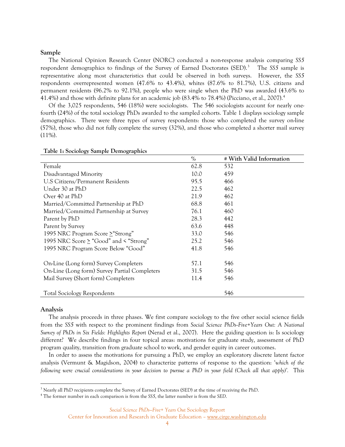#### **Sample**

The National Opinion Research Center (NORC) conducted a non-response analysis comparing *SS5* respondent demographics to findings of the Survey of Earned Doctorates (SED).<sup>[3](#page-8-0)</sup> The *SS5* sample is representative along most characteristics that could be observed in both surveys. However, the *SS5* respondents overrepresented women (47.6% to 43.4%), whites (87.6% to 81.7%), U.S. citizens and permanent residents (96.2% to 92.1%), people who were single when the PhD was awarded (43.6% to 41.4%) and those with definite plans for an academic job (83.4% to 78.4%) (Picciano, et al., 2007).[4](#page-8-1)

Of the 3,025 respondents, 546 (18%) were sociologists. The 546 sociologists account for nearly onefourth (24%) of the total sociology PhDs awarded to the sampled cohorts. Table 1 displays sociology sample demographics. There were three types of survey respondents: those who completed the survey on-line (57%), those who did not fully complete the survey (32%), and those who completed a shorter mail survey  $(11\%)$ .

|                                                  | $\%$ | # With Valid Information |
|--------------------------------------------------|------|--------------------------|
| Female                                           | 62.8 | 532                      |
| Disadvantaged Minority                           | 10.0 | 459                      |
| U.S Citizens/Permanent Residents                 | 95.5 | 466                      |
| Under 30 at PhD                                  | 22.5 | 462                      |
| Over 40 at PhD                                   | 21.9 | 462                      |
| Married/Committed Partnership at PhD             | 68.8 | 461                      |
| Married/Committed Partnership at Survey          | 76.1 | 460                      |
| Parent by PhD                                    | 28.3 | 442                      |
| Parent by Survey                                 | 63.6 | 448                      |
| 1995 NRC Program Score $\geq$ "Strong"           | 33.0 | 546                      |
| 1995 NRC Score $\geq$ "Good" and $\leq$ "Strong" | 25.2 | 546                      |
| 1995 NRC Program Score Below "Good"              | 41.8 | 546                      |
| On-Line (Long form) Survey Completers            | 57.1 | 546                      |
| On-Line (Long form) Survey Partial Completers    | 31.5 | 546                      |
| Mail Survey (Short form) Completers              | 11.4 | 546                      |
| <b>Total Sociology Respondents</b>               |      | 546                      |

#### **Table 1: Sociology Sample Demographics**

#### **Analysis**

 $\overline{a}$ 

The analysis proceeds in three phases. We first compare sociology to the five other social science fields from the *SS5* with respect to the prominent findings from *Social Science PhDs--Five+Years Out: A National Survey of PhDs in Six Fields: Highlights Report* (Nerad et al., 2007). Here the guiding question is: Is sociology different? We describe findings in four topical areas: motivations for graduate study, assessment of PhD program quality, transition from graduate school to work, and gender equity in career outcomes.

In order to assess the motivations for pursuing a PhD, we employ an exploratory discrete latent factor analysis (Vermunt & Magidson, 2004) to characterize patterns of response to the question: '*which of the following were crucial considerations in your decision to pursue a PhD in your field (Check all that apply)'.* This

<span id="page-8-0"></span><sup>&</sup>lt;sup>3</sup> Nearly all PhD recipients complete the Survey of Earned Doctorates (SED) at the time of receiving the PhD.

<span id="page-8-1"></span><sup>4</sup> The former number in each comparison is from the *SS5*, the latter number is from the *SED*.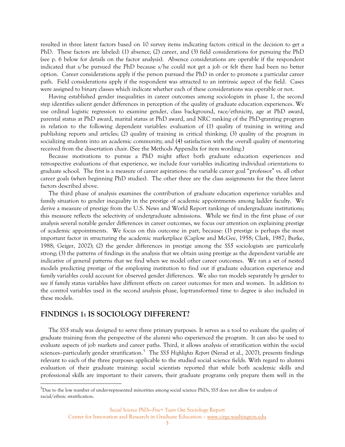resulted in three latent factors based on 10 survey items indicating factors critical in the decision to get a PhD. These factors are labeled: (1) absence, (2) career, and (3) field considerations for pursuing the PhD (see p. 6 below for details on the factor analysis). Absence considerations are operable if the respondent indicated that s/he pursued the PhD because s/he could not get a job or felt there had been no better option. Career considerations apply if the person pursued the PhD in order to promote a particular career path. Field considerations apply if the respondent was attracted to an intrinsic aspect of the field. Cases were assigned to binary classes which indicate whether each of these considerations was operable or not.

Having established gender inequalities in career outcomes among sociologists in phase 1, the second step identifies salient gender differences in perception of the quality of graduate education experiences. We use ordinal logistic regression to examine gender, class background, race/ethnicity, age at PhD award, parental status at PhD award, marital status at PhD award, and NRC ranking of the PhD-granting program in relation to the following dependent variables: evaluation of (1) quality of training in writing and publishing reports and articles; (2) quality of training in critical thinking; (3) quality of the program in socializing students into an academic community; and (4) satisfaction with the overall quality of mentoring received from the dissertation chair. (See the Methods Appendix for item wording.)

Because motivations to pursue a PhD might affect both graduate education experiences and retrospective evaluations of that experience, we include four variables indicating individual orientations to graduate school. The first is a measure of career aspirations: the variable career goal "professor" vs. all other career goals (when beginning PhD studies). The other three are the class assignments for the three latent factors described above.

The third phase of analysis examines the contribution of graduate education experience variables and family situation to gender inequality in the prestige of academic appointments among ladder faculty. We derive a measure of prestige from the U.S. News and World Report rankings of undergraduate institutions; this measure reflects the selectivity of undergraduate admissions. While we find in the first phase of our analysis several notable gender differences in career outcomes, we focus our attention on explaining prestige of academic appointments. We focus on this outcome in part, because: (1) prestige is perhaps the most important factor in structuring the academic marketplace (Caplow and McGee, 1958; Clark, 1987; Burke, 1988; Geiger, 2002); (2) the gender differences in prestige among the *SS5* sociologists are particularly strong; (3) the patterns of findings in the analysis that we obtain using prestige as the dependent variable are indicative of general patterns that we find when we model other career outcomes. We ran a set of nested models predicting prestige of the employing institution to find out if graduate education experience and family variables could account for observed gender differences. We also ran models separately by gender to see if family status variables have different effects on career outcomes for men and women. In addition to the control variables used in the second analysis phase, log-transformed time to degree is also included in these models.

# **FINDINGS 1: IS SOCIOLOGY DIFFERENT?**

 $\overline{a}$ 

The *SS5* study was designed to serve three primary purposes. It serves as a tool to evaluate the quality of graduate training from the perspective of the alumni who experienced the program. It can also be used to evaluate aspects of job markets and career paths. Third, it allows analysis of stratification within the social sciences–particularly gender stratification.[5](#page-9-0) The *SS5 Highlights Report* (Nerad et al., 2007), presents findings relevant to each of the three purposes applicable to the studied social science fields. With regard to alumni evaluation of their graduate training: social scientists reported that while both academic skills and professional skills are important to their careers, their graduate programs only prepare them well in the

<span id="page-9-0"></span><sup>5</sup> Due to the low number of under-represented minorities among social science PhDs, *SS5* does not allow for analysis of racial/ethnic stratification.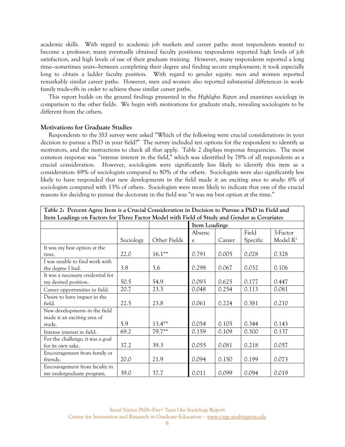academic skills. With regard to academic job markets and career paths: most respondents wanted to become a professor; many eventually obtained faculty positions; respondents reported high levels of job satisfaction, and high levels of use of their graduate training. However, many respondents reported a long time—sometimes years—between completing their degree and finding secure employment; it took especially long to obtain a ladder faculty position. With regard to gender equity: men and women reported remarkably similar career paths. However, men and women also reported substantial differences in workfamily trade-offs in order to achieve these similar career paths.

This report builds on the general findings presented in the *Highlights Report* and examines sociology in comparison to the other fields. We begin with motivations for graduate study, revealing sociologists to be different from the others.

#### **Motivations for Graduate Studies**

Respondents to the *SS5* survey were asked "Which of the following were crucial considerations in your decision to pursue a PhD in your field?" The survey included ten options for the respondent to identify as motivators, and the instructions to check all that apply. Table 2 displays response frequencies. The most common response was "intense interest in the field," which was identified by 78% of all respondents as a crucial consideration. However, sociologists were significantly less likely to identify this item as a consideration: 69% of sociologists compared to 80% of the others. Sociologists were also significantly less likely to have responded that new developments in the field made it an exciting area to study: 6% of sociologists compared with 13% of others. Sociologists were more likely to indicate that one of the crucial reasons for deciding to pursue the doctorate in the field was "it was my best option at the time."

| Table 2: Percent Agree Item is a Crucial Consideration in Decision to Pursue a PhD in Field and |                                                                                              |              |        |               |          |             |
|-------------------------------------------------------------------------------------------------|----------------------------------------------------------------------------------------------|--------------|--------|---------------|----------|-------------|
|                                                                                                 | Item Loadings on Factors for Three Factor Model with Field of Study and Gender as Covariates |              |        |               |          |             |
|                                                                                                 |                                                                                              |              |        | Item Loadings |          |             |
|                                                                                                 |                                                                                              |              | Absenc |               | Field    | 3-Factor    |
|                                                                                                 | Sociology                                                                                    | Other Fields | e      | Career        | Specific | Model $R^2$ |
| It was my best option at the                                                                    |                                                                                              |              |        |               |          |             |
| time.                                                                                           | 22.0                                                                                         | $16.1***$    | 0.791  | 0.005         | 0.028    | 0.328       |
| I was unable to find work with                                                                  |                                                                                              |              |        |               |          |             |
| the degree I had.                                                                               | 3.8                                                                                          | 3.6          | 0.298  | 0.067         | 0.032    | 0.106       |
| It was a necessary credential for                                                               |                                                                                              |              |        |               |          |             |
| my desired position.                                                                            | 50.5                                                                                         | 54.9         | 0.093  | 0.625         | 0.177    | 0.447       |
| Career opportunities in field.                                                                  | 20.7                                                                                         | 23.3         | 0.048  | 0.254         | 0.113    | 0.081       |
| Desire to have impact in the                                                                    |                                                                                              |              |        |               |          |             |
| field.                                                                                          | 22.5                                                                                         | 23.8         | 0.061  | 0.224         | 0.381    | 0.210       |
| New developments in the field                                                                   |                                                                                              |              |        |               |          |             |
| made it an exciting area of                                                                     |                                                                                              |              |        |               |          |             |
| study.                                                                                          | 5.9                                                                                          | $13.4***$    | 0.054  | 0.105         | 0.344    | 0.143       |
| Intense interest in field.                                                                      | 69.2                                                                                         | $79.7**$     | 0.159  | 0.109         | 0.300    | 0.137       |
| For the challenge; it was a goal                                                                |                                                                                              |              |        |               |          |             |
| for its own sake.                                                                               | 37.2                                                                                         | 39.3         | 0.055  | 0.081         | 0.218    | 0.057       |
| Encouragement from family or                                                                    |                                                                                              |              |        |               |          |             |
| friends.                                                                                        | 20.0                                                                                         | 21.9         | 0.094  | 0.150         | 0.199    | 0.073       |
| Encouragement from faculty in<br>my undergraduate program.                                      | 39.0                                                                                         | 37.7         | 0.011  | 0.099         | 0.094    | 0.019       |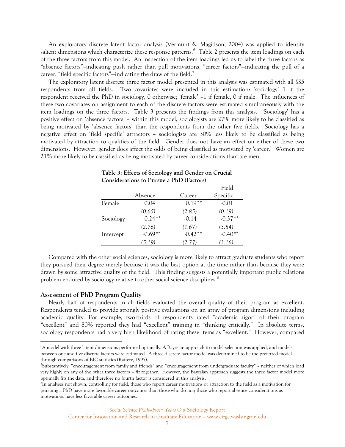An exploratory discrete latent factor analysis (Vermunt & Magidson, 2004) was applied to identify salient dimensions which characterize these response patterns.  $^6\,$  $^6\,$  $^6\,$  Table 2 presents the item loadings on each of the three factors from this model. An inspection of the item loadings led us to label the three factors as "absence factors"–indicating push rather than pull motivations, "career factors"—indicating the pull of a career, "field specific factors"-indicating the draw of the field.<sup>[7](#page-11-1)</sup>

The exploratory latent discrete three factor model presented in this analysis was estimated with all *SS5* respondents from all fields. Two covariates were included in this estimation: 'sociology'—1 if the respondent received the PhD in sociology, 0 otherwise; 'female' –1 if female, 0 if male. The influences of these two covariates on assignment to each of the discrete factors were estimated simultaneously with the item loadings on the three factors. Table 3 presents the findings from this analysis. 'Sociology' has a positive effect on 'absence factors' – within this model, sociologists are 27% more likely to be classified as being motivated by 'absence factors' than the respondents from the other five fields. Sociology has a negative effect on 'field specific' attractors – sociologists are 30% less likely to be classified as being motivated by attraction to qualities of the field. Gender does not have an effect on either of these two dimensions. However, gender does affect the odds of being classified as motivated by 'career.' Women are 21% more likely to be classified as being motivated by career considerations than are men.

| Considerations to Pursue a PhD (Factors) |           |           |           |
|------------------------------------------|-----------|-----------|-----------|
|                                          |           |           | Field     |
|                                          | Absence   | Career    | Specific  |
| Female                                   | 0.04      | $0.19**$  | $-0.01$   |
|                                          | (0.65)    | (2.85)    | (0.19)    |
| Sociology                                | $0.24***$ | $-0.14$   | $-0.37**$ |
|                                          | (2.76)    | (1.67)    | (3.84)    |
| Intercept                                | $-0.69**$ | $-0.42**$ | $-0.40**$ |
|                                          | (5.19)    | (2.77)    | (3.16)    |

| Table 3: Effects of Sociology and Gender on Crucial |  |
|-----------------------------------------------------|--|
| <b>Considerations to Pursue a PhD (Factors)</b>     |  |

Compared with the other social sciences, sociology is more likely to attract graduate students who report they pursued their degree merely because it was the best option at the time rather than because they were drawn by some attractive quality of the field. This finding suggests a potentially important public relations problem endured by sociology relative to other social science disciplines.<sup>[8](#page-11-2)</sup>

#### **Assessment of PhD Program Quality**

 $\overline{a}$ 

Nearly half of respondents in all fields evaluated the overall quality of their program as excellent. Respondents tended to provide strongly positive evaluations on an array of program dimensions including academic quality. For example, two-thirds of respondents rated "academic rigor" of their program "excellent" and 80% reported they had "excellent" training in "thinking critically." In absolute terms, sociology respondents had a very high likelihood of rating these items as "excellent." However, compared

Center for Innovation and Research in Graduate Education – www.cirge.washington.edu

<span id="page-11-0"></span><sup>6</sup> A model with three latent dimensions performed optimally. A Bayesian approach to model selection was applied, and models between one and five discrete factors were estimated. A three discrete factor model was determined to be the preferred model through comparisons of BIC statistics (Raftery, 1995).

<span id="page-11-1"></span>Substantively, "encouragement from family and friends" and "encouragement from undergraduate faculty" – neither of which load very highly on any of the other three factors – fit together. However, the Bayesian approach suggests the three factor model more optimally fits the data, and therefore no fourth factor is considered in this analysis. 8

<span id="page-11-2"></span><sup>&</sup>lt;sup>8</sup>In analyses not shown, controlling for field, those who report career motivations or attraction to the field as a motivation for pursuing a PhD have more favorable career outcomes than those who do not; those who report absence considerations as motivations have less favorable career outcomes.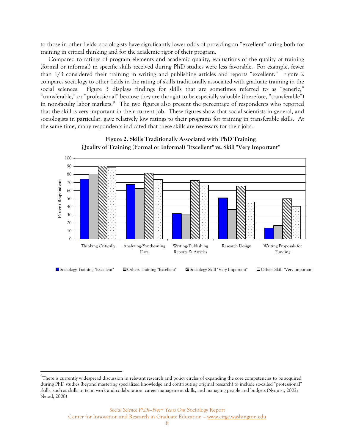to those in other fields, sociologists have significantly lower odds of providing an "excellent" rating both for training in critical thinking and for the academic rigor of their program.

Compared to ratings of program elements and academic quality, evaluations of the quality of training (formal or informal) in specific skills received during PhD studies were less favorable. For example, fewer than 1/3 considered their training in writing and publishing articles and reports "excellent." Figure 2 compares sociology to other fields in the rating of skills traditionally associated with graduate training in the social sciences. Figure 3 displays findings for skills that are sometimes referred to as "generic," "transferable," or "professional" because they are thought to be especially valuable (therefore, "transferable") in non-faculty labor markets.<sup>[9](#page-12-0)</sup> The two figures also present the percentage of respondents who reported that the skill is very important in their current job. These figures show that social scientists in general, and sociologists in particular, gave relatively low ratings to their programs for training in transferable skills. At the same time, many respondents indicated that these skills are necessary for their jobs.





 $\overline{a}$ 

<span id="page-12-0"></span> $^9$ There is currently widespread discussion in relevant research and policy circles of expanding the core competencies to be acquired during PhD studies (beyond mastering specialized knowledge and contributing original research) to include so-called "professional" skills, such as skills in team work and collaboration, career management skills, and managing people and budgets (Nyquist, 2002; Nerad, 2008)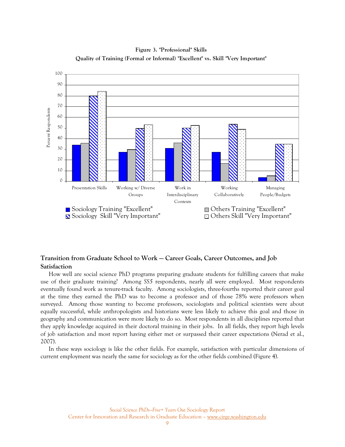

**Figure 3. "Professional" Skills Quality of Training (Formal or Informal) "Excellent" vs. Skill "Very Important"**

## **Transition from Graduate School to Work — Career Goals, Career Outcomes, and Job Satisfaction**

How well are social science PhD programs preparing graduate students for fulfilling careers that make use of their graduate training? Among *SS5* respondents, nearly all were employed. Most respondents eventually found work as tenure-track faculty. Among sociologists, three-fourths reported their career goal at the time they earned the PhD was to become a professor and of those 78% were professors when surveyed. Among those wanting to become professors, sociologists and political scientists were about equally successful, while anthropologists and historians were less likely to achieve this goal and those in geography and communication were more likely to do so. Most respondents in all disciplines reported that they apply knowledge acquired in their doctoral training in their jobs. In all fields, they report high levels of job satisfaction and most report having either met or surpassed their career expectations (Nerad et al., 2007).

In these ways sociology is like the other fields. For example, satisfaction with particular dimensions of current employment was nearly the same for sociology as for the other fields combined (Figure 4).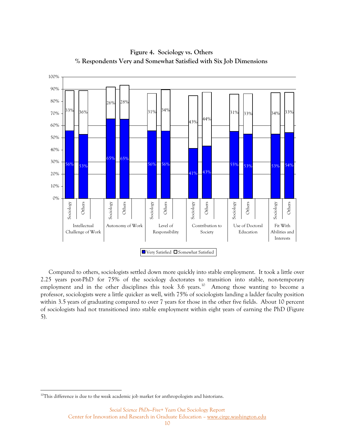

**Figure 4. Sociology vs. Others % Respondents Very and Somewhat Satisfied with Six Job Dimensions**

Compared to others, sociologists settled down more quickly into stable employment. It took a little over 2.25 years post-PhD for 75% of the sociology doctorates to transition into stable, non-temporary employment and in the other disciplines this took 3.6 years.<sup>[10](#page-14-0)</sup> Among those wanting to become a professor, sociologists were a little quicker as well, with 75% of sociologists landing a ladder faculty position within 3.5 years of graduating compared to over 7 years for those in the other five fields. About 10 percent of sociologists had not transitioned into stable employment within eight years of earning the PhD (Figure 5).

 $\overline{a}$ 

<span id="page-14-0"></span> $10$ This difference is due to the weak academic job market for anthropologists and historians.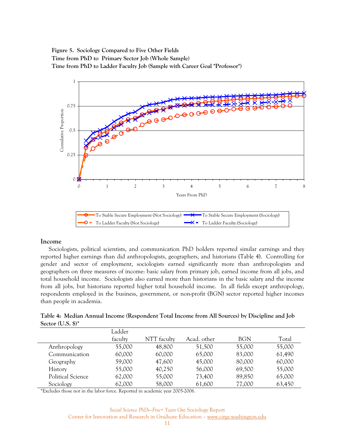# **Figure 5. Sociology Compared to Five Other Fields Time from PhD to Primary Sector Job (Whole Sample) Time from PhD to Ladder Faculty Job (Sample with Career Goal "Professor")**



### **Income**

Sociologists, political scientists, and communication PhD holders reported similar earnings and they reported higher earnings than did anthropologists, geographers, and historians (Table 4). Controlling for gender and sector of employment, sociologists earned significantly more than anthropologists and geographers on three measures of income: basic salary from primary job, earned income from all jobs, and total household income. Sociologists also earned more than historians in the basic salary and the income from all jobs, but historians reported higher total household income. In all fields except anthropology, respondents employed in the business, government, or non-profit (BGN) sector reported higher incomes than people in academia.

|                     | Table 4: Median Annual Income (Respondent Total Income from All Sources) by Discipline and Job |  |  |
|---------------------|------------------------------------------------------------------------------------------------|--|--|
| Sector $(U.S.$ \$)* |                                                                                                |  |  |

|                   | Ladder  |             |             |            |        |
|-------------------|---------|-------------|-------------|------------|--------|
|                   | faculty | NTT faculty | Acad. other | <b>BGN</b> | Total  |
| Anthropology      | 55,000  | 48,800      | 51,500      | 55,000     | 55,000 |
| Communication     | 60,000  | 60,000      | 65,000      | 83,000     | 61,490 |
| Geography         | 59,000  | 47,600      | 45,000      | 80,000     | 60,000 |
| History           | 55,000  | 40,250      | 56,000      | 69,500     | 55,000 |
| Political Science | 62,000  | 55,000      | 73,400      | 89,850     | 65,000 |
| Sociology         | 62,000  | 58,000      | 61,600      | 77,000     | 63,450 |

\*Excludes those not in the labor force. Reported in academic year 2005-2006.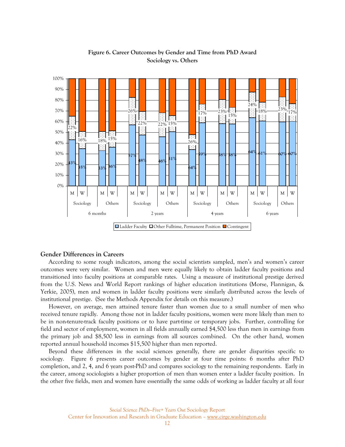

# **Figure 6. Career Outcomes by Gender and Time from PhD Award Sociology vs. Others**

#### **Gender Differences in Careers**

According to some rough indicators, among the social scientists sampled, men's and women's career outcomes were very similar. Women and men were equally likely to obtain ladder faculty positions and transitioned into faculty positions at comparable rates. Using a measure of institutional prestige derived from the U.S. News and World Report rankings of higher education institutions (Morse, Flannigan, & Yerkie, 2005), men and women in ladder faculty positions were similarly distributed across the levels of institutional prestige. (See the Methods Appendix for details on this measure.)

However, on average, men attained tenure faster than women due to a small number of men who received tenure rapidly. Among those not in ladder faculty positions, women were more likely than men to be in non-tenure-track faculty positions or to have part-time or temporary jobs. Further, controlling for field and sector of employment, women in all fields annually earned \$4,500 less than men in earnings from the primary job and \$8,500 less in earnings from all sources combined. On the other hand, women reported annual household incomes \$15,500 higher than men reported.

Beyond these differences in the social sciences generally, there are gender disparities specific to sociology. Figure 6 presents career outcomes by gender at four time points: 6 months after PhD completion, and 2, 4, and 6 years post-PhD and compares sociology to the remaining respondents. Early in the career, among sociologists a higher proportion of men than women enter a ladder faculty position. In the other five fields, men and women have essentially the same odds of working as ladder faculty at all four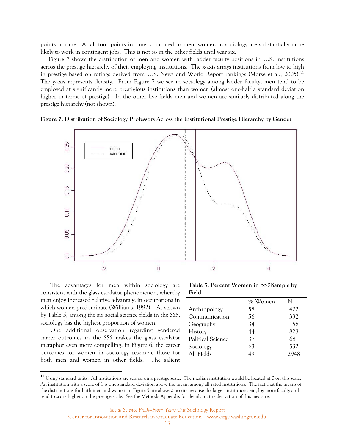points in time. At all four points in time, compared to men, women in sociology are substantially more likely to work in contingent jobs. This is not so in the other fields until year six.

Figure 7 shows the distribution of men and women with ladder faculty positions in U.S. institutions across the prestige hierarchy of their employing institutions. The x-axis arrays institutions from low to high in prestige based on ratings derived from U.S. News and World Report rankings (Morse et al., 2005).<sup>[11](#page-17-0)</sup> The y-axis represents density. From Figure 7 we see in sociology among ladder faculty, men tend to be employed at significantly more prestigious institutions than women (almost one-half a standard deviation higher in terms of prestige). In the other five fields men and women are similarly distributed along the prestige hierarchy (not shown).

**Figure 7: Distribution of Sociology Professors Across the Institutional Prestige Hierarchy by Gender** 



The advantages for men within sociology are consistent with the glass escalator phenomenon, whereby men enjoy increased relative advantage in occupations in which women predominate (Williams, 1992). As shown by Table 5, among the six social science fields in the *SS5*, sociology has the highest proportion of women.

One additional observation regarding gendered career outcomes in the *SS5* makes the glass escalator metaphor even more compelling: in Figure 6, the career outcomes for women in sociology resemble those for both men and women in other fields. The salient

 $\overline{a}$ 

**Table 5: Percent Women in SS5 Sample by Field**

|                          | % Women | N   |
|--------------------------|---------|-----|
| Anthropology             | 58      | 422 |
| Communication            | 56      | 332 |
| Geography                | 34      | 158 |
| History                  | 44      | 823 |
| <b>Political Science</b> | 37      | 681 |
| Sociology                | 63      | 532 |
| All Fields               | 49      |     |

<span id="page-17-0"></span> $11$  Using standard units. All institutions are scored on a prestige scale. The median institution would be located at 0 on this scale. An institution with a score of 1 is one standard deviation above the mean, among all rated institutions. The fact that the means of the distributions for both men and women in Figure 5 are above 0 occurs because the larger institutions employ more faculty and tend to score higher on the prestige scale. See the Methods Appendix for details on the derivation of this measure.

*Social Science PhDs—Five+ Years Out* Sociology Report

Center for Innovation and Research in Graduate Education – www.cirge.washington.edu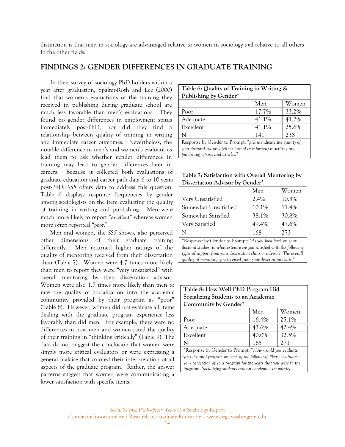distinction is that men in sociology are advantaged relative to women in sociology *and* relative to all others in the other fields.

## **FINDINGS 2: GENDER DIFFERENCES IN GRADUATE TRAINING**

In their survey of sociology PhD holders within a year after graduation, Spalter-Roth and Lee (2000) find that women's evaluations of the training they received in publishing during graduate school are much less favorable than men's evaluations. They found no gender differences in employment status immediately post-PhD, nor did they find a relationship between quality of training in writing and immediate career outcomes. Nevertheless, the notable difference in men's and women's evaluations lead them to ask whether gender differences in training may lead to gender differences later in careers. Because it collected both evaluations of graduate education and career path data 6 to 10 years post-PhD, *SS5* offers data to address this question. Table 6 displays response frequencies by gender among sociologists on the item evaluating the quality of training in writing and publishing. Men were much more likely to report "*excellent*" whereas women more often reported "*poor*."

Men and women, the *SS5* shows, also perceived other dimensions of their graduate training differently. Men returned higher ratings of the quality of mentoring received from their dissertation chair (Table 7). Women were 4.7 times more likely than men to report they were "very unsatisfied" with overall mentoring by their dissertation advisor. Women were also 1.7 times more likely than men to rate the quality of socialization into the academic community provided by their program as "poor" (Table 8). However, women did not evaluate all items dealing with the graduate program experience less favorably than did men. For example, there were no differences in how men and women rated the quality of their training in "thinking critically" (Table 9). The data do not suggest the conclusion that women were simply more critical evaluators or were expressing a general malaise that colored their interpretation of all aspects of the graduate program. Rather, the answer patterns suggest that women were communicating a lower satisfaction with specific items.

| Table 6: Quality of Training in Writing &                         |       |       |  |  |
|-------------------------------------------------------------------|-------|-------|--|--|
| Publishing by Gender*                                             |       |       |  |  |
|                                                                   | Men   | Women |  |  |
| Poor                                                              | 17.7% | 33.2% |  |  |
| Adequate                                                          | 41.1% | 41.2% |  |  |
| Excellent                                                         | 41.1% | 25.6% |  |  |
| N                                                                 | 141   | 238   |  |  |
| Response by Gender to Prompt: "please indicate the quality of     |       |       |  |  |
| your doctoral training (either formal or informal) in writing and |       |       |  |  |
| publishing reports and articles."                                 |       |       |  |  |

**Table 7: Satisfaction with Overall Mentoring by Dissertation Advisor by Gender\*** 

|                      | Men     | Women    |
|----------------------|---------|----------|
| Very Unsatisfied     | $2.4\%$ | $10.3\%$ |
| Somewhat Unsatisfied | 10.1%   | 11.4%    |
| Somewhat Satisfied   | 38.1%   | 30.8%    |
| Very Satisfied       | 49.4%   | 47.6%    |
| N                    | 168     | 273      |
|                      |         |          |

\*Response by Gender to Prompt: "*As you look back on your doctoral studies, to what extent were you satisfied with the following types of support from your dissertation chair or advisor? The overall quality of mentoring you received from your dissertation chair."*

| Table 8: How Well PhD Program Did                                                                                                |                |       |  |  |  |
|----------------------------------------------------------------------------------------------------------------------------------|----------------|-------|--|--|--|
| Socializing Students to an Academic                                                                                              |                |       |  |  |  |
| Community by Gender*                                                                                                             |                |       |  |  |  |
|                                                                                                                                  | Men            | Women |  |  |  |
| Poor                                                                                                                             | 16.4%          | 25.1% |  |  |  |
| Adequate                                                                                                                         | 43.6%<br>42.4% |       |  |  |  |
| 40.0%<br>32.5%<br>Excellent                                                                                                      |                |       |  |  |  |
| 165<br>271<br>N                                                                                                                  |                |       |  |  |  |
| *Response by Gender to Prompt: "How would you evaluate"<br>your doctoral program on each of the following? Please evaluate       |                |       |  |  |  |
| your perception of your program for the years that you were in the<br>program: Socializing students into an academic community." |                |       |  |  |  |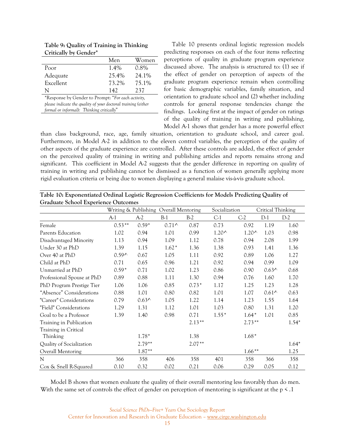| Critically by Gender" |       |         |
|-----------------------|-------|---------|
|                       | Men   | Women   |
| Poor                  | 1.4%  | $0.8\%$ |
| Adequate              | 25.4% | 24.1%   |
| Excellent             | 73.2% | 75.1%   |
| N                     | 142   | 237     |

**Table 9: Quality of Training in Thinking**   $\mathbf{C} \cdot \mathbf{H} \cdot \mathbf{L} \cdot \mathbf{C}$ 

\*Response by Gender to Prompt: "*For each activity, please indicate the quality of your doctoral training (either formal or informal): Thinking critically*"

Table 10 presents ordinal logistic regression models predicting responses on each of the four items reflecting perceptions of quality in graduate program experience discussed above. The analysis is structured to: (1) see if the effect of gender on perception of aspects of the graduate program experience remain when controlling for basic demographic variables, family situation, and orientation to graduate school and (2) whether including controls for general response tendencies change the findings. Looking first at the impact of gender on ratings of the quality of training in writing and publishing, Model A-1 shows that gender has a more powerful effect

than class background, race, age, family situation, orientation to graduate school, and career goal. Furthermore, in Model A-2 in addition to the eleven control variables, the perception of the quality of other aspects of the graduate experience are controlled. After these controls are added, the effect of gender on the perceived quality of training in writing and publishing articles and reports remains strong and significant. This coefficient in Model A-2 suggests that the gender difference in reporting on quality of training in writing and publishing cannot be dismissed as a function of women generally applying more rigid evaluation criteria or being due to women displaying a general malaise vis-à-vis graduate school.

| Table 10: Exponentiated Ordinal Logistic Regression Coefficients for Models Predicting Quality of |  |
|---------------------------------------------------------------------------------------------------|--|
| <b>Graduate School Experience Outcomes</b>                                                        |  |

|                            |                |                | Writing & Publishing Overall Mentoring |          | Socialization |          | Critical Thinking |         |
|----------------------------|----------------|----------------|----------------------------------------|----------|---------------|----------|-------------------|---------|
|                            | A-1            | $A-2$          | $B-1$                                  | $B-2$    | $C-1$         | $C-2$    | $D-1$             | $D-2$   |
| Female                     | $0.53**$       | $0.59*$        | $0.71^$                                | 0.87     | 0.73          | 0.92     | 1.19              | 1.60    |
| Parents Education          | 1.02           | 0.94           | 1.01                                   | 0.99     | $1.20^$       | $1.20^$  | 1.03              | 0.98    |
| Disadvantaged Minority     | 1.13           | 0.94           | 1.09                                   | 1.12     | 0.78          | 0.94     | 2.08              | 1.99    |
| Under 30 at PhD            | 1.39           | 1.15           | $1.62*$                                | 1.36     | 1.38          | 0.93     | 1.41              | 1.36    |
| Over 40 at PhD             | $0.59^{\circ}$ | 0.67           | 1.05                                   | 1.11     | 0.92          | 0.89     | 1.06              | 1.27    |
| Child at PhD               | 0.71           | 0.65           | 0.96                                   | 1.21     | 0.92          | 0.94     | 0.99              | 1.09    |
| Unmarried at PhD           | $0.59*$        | 0.71           | 1.02                                   | 1.23     | 0.86          | 0.90     | $0.63^{\circ}$    | 0.68    |
| Professional Spouse at PhD | 0.89           | 0.88           | 1.11                                   | 1.30     | 0.94          | 0.76     | 1.60              | 1.70    |
| PhD Program Prestige Tier  | 1.06           | 1.06           | 0.85                                   | $0.73*$  | 1.17          | 1.25     | 1.23              | 1.28    |
| "Absence" Considerations   | 0.88           | 1.01           | 0.80                                   | 0.82     | 1.01          | 1.07     | $0.61^$           | 0.63    |
| "Career" Considerations    | 0.79           | $0.63^{\star}$ | 1.05                                   | 1.22     | 1.14          | 1.23     | 1.55              | 1.64    |
| "Field" Considerations     | 1.29           | 1.31           | 1.12                                   | 1.01     | 1.03          | 0.80     | 1.31              | 1.20    |
| Goal to be a Professor     | 1.39           | 1.40           | 0.98                                   | 0.71     | $1.55*$       | $1.64*$  | 1.01              | 0.85    |
| Training in Publication    |                |                |                                        | $2.13**$ |               | $2.73**$ |                   | $1.54*$ |
| Training in Critical       |                |                |                                        |          |               |          |                   |         |
| Thinking                   |                | $1.78*$        |                                        | 1.38     |               | $1.68*$  |                   |         |
| Quality of Socialization   |                | $2.79**$       |                                        | $2.07**$ |               |          |                   | $1.64*$ |
| Overall Mentoring          |                | $1.87**$       |                                        |          |               | $1.66**$ |                   | 1.25    |
| N                          | 366            | 358            | 406                                    | 358      | 401           | 358      | 366               | 358     |
| Cox & Snell R-Squared      | 0.10           | 0.32           | 0.02                                   | 0.21     | 0.06          | 0.29     | 0.05              | 0.12    |

Model B shows that women evaluate the quality of their overall mentoring less favorably than do men. With the same set of controls the effect of gender on perception of mentoring is significant at the  $p \leq 1$ 

> *Social Science PhDs—Five+ Years Out* Sociology Report Center for Innovation and Research in Graduate Education – www.cirge.washington.edu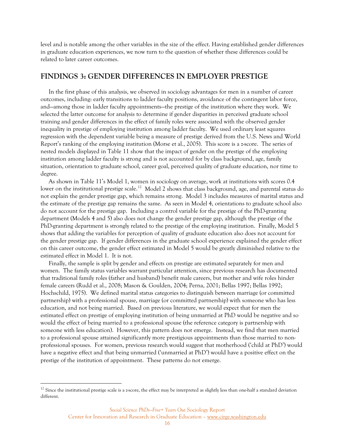level and is notable among the other variables in the size of the effect. Having established gender differences in graduate education experiences, we now turn to the question of whether these differences could be related to later career outcomes.

### **FINDINGS 3: GENDER DIFFERENCES IN EMPLOYER PRESTIGE**

In the first phase of this analysis, we observed in sociology advantages for men in a number of career outcomes, including: early transitions to ladder faculty positions, avoidance of the contingent labor force, and—among those in ladder faculty appointments—the prestige of the institution where they work. We selected the latter outcome for analysis to determine if gender disparities in perceived graduate school training and gender differences in the effect of family roles were associated with the observed gender inequality in prestige of employing institution among ladder faculty. We used ordinary least squares regression with the dependent variable being a measure of prestige derived from the U.S. News and World Report's ranking of the employing institution (Morse et al., 2005). This score is a z-score. The series of nested models displayed in Table 11 show that the impact of gender on the prestige of the employing institution among ladder faculty is strong and is not accounted for by class background, age, family situation, orientation to graduate school, career goal, perceived quality of graduate education, nor time to degree.

As shown in Table 11's Model 1, women in sociology on average, work at institutions with scores 0.4 lower on the institutional prestige scale.<sup>[12](#page-20-0)</sup> Model 2 shows that class background, age, and parental status do not explain the gender prestige gap, which remains strong. Model 3 includes measures of marital status and the estimate of the prestige gap remains the same. As seen in Model 4, orientations to graduate school also do not account for the prestige gap. Including a control variable for the prestige of the PhD-granting department (Models 4 and 5) also does not change the gender prestige gap, although the prestige of the PhD-granting department is strongly related to the prestige of the employing institution. Finally, Model 5 shows that adding the variables for perception of quality of graduate education also does not account for the gender prestige gap. If gender differences in the graduate school experience explained the gender effect on this career outcome, the gender effect estimated in Model 5 would be greatly diminished relative to the estimated effect in Model 1. It is not.

Finally, the sample is split by gender and effects on prestige are estimated separately for men and women. The family status variables warrant particular attention, since previous research has documented that traditional family roles (father and husband) benefit male careers, but mother and wife roles hinder female careers (Rudd et al., 2008; Mason & Goulden, 2004; Perna, 2001; Bellas 1997; Bellas 1992; Hochschild, 1975). We defined marital status categories to distinguish between marriage (or committed partnership) with a professional spouse, marriage (or committed partnership) with someone who has less education, and not being married. Based on previous literature, we would expect that for men the estimated effect on prestige of employing institution of being unmarried at PhD would be negative and so would the effect of being married to a professional spouse (the reference category is partnership with someone with less education). However, this pattern does not emerge. Instead, we find that men married to a professional spouse attained significantly more prestigious appointments than those married to nonprofessional spouses. For women, previous research would suggest that motherhood ('child at PhD') would have a negative effect and that being unmarried ('unmarried at PhD') would have a positive effect on the prestige of the institution of appointment. These patterns do not emerge.

 $\overline{a}$ 

<span id="page-20-0"></span> $12$  Since the institutional prestige scale is a z-score, the effect may be interpreted as slightly less than one-half a standard deviation different.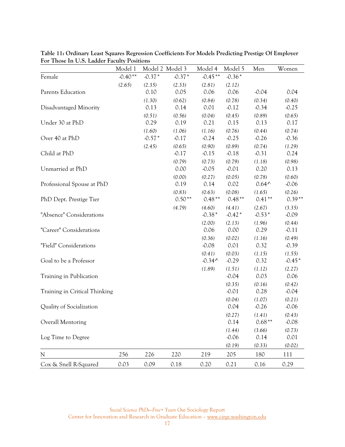|                               | Model 1   |          | Model 2 Model 3 | Model 4   | Model 5  | Men             | Women    |
|-------------------------------|-----------|----------|-----------------|-----------|----------|-----------------|----------|
| Female                        | $-0.40**$ | $-0.37*$ | $-0.37*$        | $-0.45**$ | $-0.36*$ |                 |          |
|                               | (2.65)    | (2.35)   | (2.33)          | (2.81)    | (2.12)   |                 |          |
| Parents Education             |           | 0.10     | 0.05            | 0.06      | 0.06     | $-0.04$         | 0.04     |
|                               |           | (1.30)   | (0.62)          | (0.84)    | (0.78)   | (0.34)          | (0.40)   |
| Disadvantaged Minority        |           | 0.13     | 0.14            | 0.01      | $-0.12$  | $-0.34$         | $-0.25$  |
|                               |           | (0.51)   | (0.56)          | (0.04)    | (0.45)   | (0.89)          | (0.65)   |
| Under 30 at PhD               |           | 0.29     | 0.19            | 0.21      | 0.15     | 0.13            | 0.17     |
|                               |           | (1.60)   | (1.06)          | (1.16)    | (0.76)   | (0.44)          | (0.74)   |
| Over 40 at PhD                |           | $-0.57*$ | $-0.17$         | $-0.24$   | $-0.25$  | $-0.26$         | $-0.36$  |
|                               |           | (2.45)   | (0.65)          | (0.90)    | (0.89)   | (0.74)          | (1.29)   |
| Child at PhD                  |           |          | $-0.17$         | $-0.15$   | $-0.18$  | $-0.31$         | 0.24     |
|                               |           |          | (0.79)          | (0.73)    | (0.79)   | (1.18)          | (0.98)   |
| Unmarried at PhD              |           |          | 0.00            | $-0.05$   | $-0.01$  | 0.20            | 0.13     |
|                               |           |          | (0.00)          | (0.27)    | (0.05)   | (0.78)          | (0.60)   |
| Professional Spouse at PhD    |           |          | 0.19            | 0.14      | 0.02     | $0.64^{\prime}$ | $-0.06$  |
|                               |           |          | (0.83)          | (0.63)    | (0.08)   | (1.65)          | (0.26)   |
| PhD Dept. Prestige Tier       |           |          | $0.50**$        | $0.48**$  | $0.48**$ | $0.41**$        | $0.39**$ |
|                               |           |          | (4.79)          | (4.60)    | (4.41)   | (2.67)          | (3.35)   |
| "Absence" Considerations      |           |          |                 | $-0.38*$  | $-0.42*$ | $-0.53*$        | $-0.09$  |
|                               |           |          |                 | (2.00)    | (2.13)   | (1.96)          | (0.44)   |
| "Career" Considerations       |           |          |                 | 0.06      | 0.00     | 0.29            | $-0.11$  |
|                               |           |          |                 | (0.36)    | (0.02)   | (1.16)          | (0.49)   |
| "Field" Considerations        |           |          |                 | $-0.08$   | 0.01     | 0.32            | $-0.39$  |
|                               |           |          |                 | (0.41)    | (0.03)   | (1.15)          | (1.55)   |
| Goal to be a Professor        |           |          |                 | $-0.34$   | $-0.29$  | 0.32            | $-0.45*$ |
|                               |           |          |                 | (1.89)    | (1.51)   | (1.12)          | (2.27)   |
| Training in Publication       |           |          |                 |           | $-0.04$  | 0.03            | 0.06     |
|                               |           |          |                 |           | (0.35)   | (0.16)          | (0.42)   |
| Training in Critical Thinking |           |          |                 |           | $-0.01$  | 0.28            | $-0.04$  |
|                               |           |          |                 |           | (0.04)   | (1.07)          | (0.21)   |
| Quality of Socialization      |           |          |                 |           | 0.04     | $-0.26$         | $-0.06$  |
|                               |           |          |                 |           | (0.27)   | (1.41)          | (0.43)   |
| Overall Mentoring             |           |          |                 |           | 0.14     | $0.68**$        | $-0.08$  |
|                               |           |          |                 |           | (1.44)   | (3.66)          | (0.73)   |
| Log Time to Degree            |           |          |                 |           | $-0.06$  | 0.14            | 0.01     |
|                               |           |          |                 |           | (0.19)   | (0.33)          | (0.02)   |
| N                             | 256       | 226      | 220             | 219       | 205      | 180             | 111      |
| Cox & Snell R-Squared         | 0.03      | 0.09     | 0.18            | 0.20      | 0.21     | 0.16            | 0.29     |

**Table 11: Ordinary Least Squares Regression Coefficients For Models Predicting Prestige Of Employer For Those In U.S. Ladder Faculty Positions**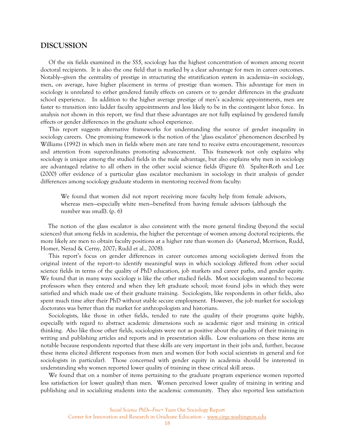### **DISCUSSION**

Of the six fields examined in the *SS5*, sociology has the highest concentration of women among recent doctoral recipients. It is also the one field that is marked by a clear advantage for men in career outcomes. Notably—given the centrality of prestige in structuring the stratification system in academia—in sociology, men, on average, have higher placement in terms of prestige than women. This advantage for men in sociology is unrelated to either gendered family effects on careers or to gender differences in the graduate school experience. In addition to the higher average prestige of men's academic appointments, men are faster to transition into ladder faculty appointments and less likely to be in the contingent labor force. In analysis not shown in this report, we find that these advantages are not fully explained by gendered family effects or gender differences in the graduate school experience.

This report suggests alternative frameworks for understanding the source of gender inequality in sociology careers. One promising framework is the notion of the 'glass escalator' phenomenon described by Williams (1992) in which men in fields where men are rare tend to receive extra encouragement, resources and attention from superordinates promoting advancement. This framework not only explains why sociology is unique among the studied fields in the male advantage, but also explains why men in sociology are advantaged relative to all others in the other social science fields (Figure 6). Spalter-Roth and Lee (2000) offer evidence of a particular glass escalator mechanism in sociology in their analysis of gender differences among sociology graduate students in mentoring received from faculty:

We found that women did not report receiving more faculty help from female advisors, whereas men—especially white men—benefited from having female advisors (although the number was small). (p. 6)

The notion of the glass escalator is also consistent with the more general finding (beyond the social sciences) that among fields in academia, the higher the percentage of women among doctoral recipients, the more likely are men to obtain faculty positions at a higher rate than women do (Aanerud, Morrison, Rudd, Homer, Nerad & Cerny, 2007; Rudd et al., 2008).

This report's focus on gender differences in career outcomes among sociologists derived from the original intent of the report–to identify meaningful ways in which sociology differed from other social science fields in terms of the quality of PhD education, job markets and career paths, and gender equity. We found that in many ways sociology is like the other studied fields. Most sociologists wanted to become professors when they entered and when they left graduate school; most found jobs in which they were satisfied and which made use of their graduate training. Sociologists, like respondents in other fields, also spent much time after their PhD without stable secure employment. However, the job market for sociology doctorates was better than the market for anthropologists and historians.

Sociologists, like those in other fields, tended to rate the quality of their programs quite highly, especially with regard to abstract academic dimensions such as academic rigor and training in critical thinking. Also like those other fields, sociologists were not as positive about the quality of their training in writing and publishing articles and reports and in presentation skills. Low evaluations on these items are notable because respondents reported that these skills are very important in their jobs and, further, because these items elicited different responses from men and women (for both social scientists in general and for sociologists in particular). Those concerned with gender equity in academia should be interested in understanding why women reported lower quality of training in these critical skill areas.

We found that on a number of items pertaining to the graduate program experience women reported less satisfaction (or lower quality) than men. Women perceived lower quality of training in writing and publishing and in socializing students into the academic community. They also reported less satisfaction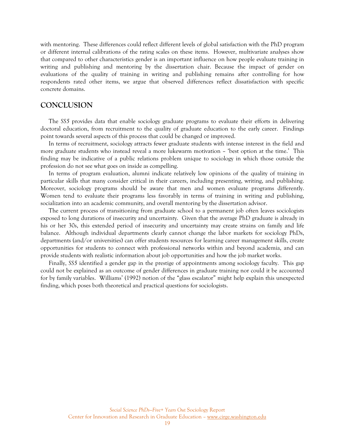with mentoring. These differences could reflect different levels of global satisfaction with the PhD program or different internal calibrations of the rating scales on these items. However, multivariate analyses show that compared to other characteristics gender is an important influence on how people evaluate training in writing and publishing and mentoring by the dissertation chair. Because the impact of gender on evaluations of the quality of training in writing and publishing remains after controlling for how respondents rated other items, we argue that observed differences reflect dissatisfaction with specific concrete domains.

# **CONCLUSION**

The *SS5* provides data that enable sociology graduate programs to evaluate their efforts in delivering doctoral education, from recruitment to the quality of graduate education to the early career. Findings point towards several aspects of this process that could be changed or improved.

In terms of recruitment, sociology attracts fewer graduate students with intense interest in the field and more graduate students who instead reveal a more lukewarm motivation – 'best option at the time.' This finding may be indicative of a public relations problem unique to sociology in which those outside the profession do not see what goes on inside as compelling.

In terms of program evaluation, alumni indicate relatively low opinions of the quality of training in particular skills that many consider critical in their careers, including presenting, writing, and publishing. Moreover, sociology programs should be aware that men and women evaluate programs differently. Women tend to evaluate their programs less favorably in terms of training in writing and publishing, socialization into an academic community, and overall mentoring by the dissertation advisor.

The current process of transitioning from graduate school to a permanent job often leaves sociologists exposed to long durations of insecurity and uncertainty. Given that the average PhD graduate is already in his or her 30s, this extended period of insecurity and uncertainty may create strains on family and life balance. Although individual departments clearly cannot change the labor markets for sociology PhDs, departments (and/or universities) can offer students resources for learning career management skills, create opportunities for students to connect with professional networks within and beyond academia, and can provide students with realistic information about job opportunities and how the job market works.

Finally, *SS5* identified a gender gap in the prestige of appointments among sociology faculty. This gap could not be explained as an outcome of gender differences in graduate training nor could it be accounted for by family variables. Williams' (1992) notion of the "glass escalator" might help explain this unexpected finding, which poses both theoretical and practical questions for sociologists.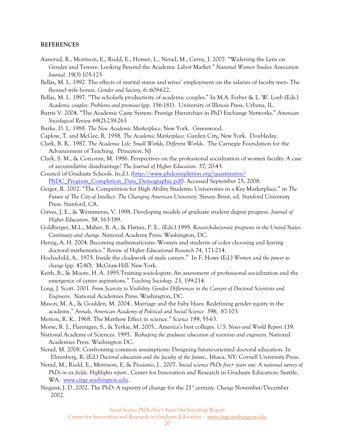#### **REFERENCES**

- Aanerud, R., Morrison, E., Rudd, E., Homer, L., Nerad, M., Cerny, J. 2007. "Widening the Lens on Gender and Tenure: Looking Beyond the Academic Labor Market*." National Women Studies Association Journal*. 19(3) 105-123
- Bellas, M. L. 1992. The effects of marital status and wives' employment on the salaries of faculty men: The (house) wife bonus. *Gender and Society*. 6: 609-622.
- Bellas, M. L. 1997. "The scholarly productivity of academic couples." In M.A. Ferber & L. W. Loeb (Eds.) *Academic couples: Problems and promises* (pp. 156-181). University of Illinois Press. Urbana, IL.
- Burris V. 2004. "The Academic Caste System: Prestige Hierarchies in PhD Exchange Networks." *American Sociological Review* 69(2):239-263
- Burke, D. L. 1988. *The New Academic Marketplace*. New York. Greenwood.
- Caplow, T. and McGee, R. 1958. *The Academic Marketplace*. Garden City, New York. Doubleday.
- Clark, B. R.. 1987. *The Academic Life: Small Worlds, Different Worlds*. The Carnegie Foundation for the Advancement of Teaching. Princeton, NJ
- Clark, S. M., & Corcoran, M. 1986. Perspectives on the professional socialization of women faculty: A case of accumulative disadvantage? *The Journal of Higher Education*. *57*, 20-43.
- Council of Graduate Schools. (n.d.). ([http://www.phdcompletion.org/quantitative/](http://www.phdcompletion.org/quantitative/%20PhDC_Program_Completion_Data_Demographic.pdf)  [PhDC\\_Program\\_Completion\\_Data\\_Demographic.pdf\)](http://www.phdcompletion.org/quantitative/%20PhDC_Program_Completion_Data_Demographic.pdf). Accessed September 25, 2008.
- Geiger, R. 2002. "The Competition for High Ability Students: Universities in a Key Marketplace." in *The Future of The City of Intellect: The Changing American University.* Steven Brint, ed. Stanford University Press. Stanford, CA.
- Girves, J. E., & Wemmerus, V. 1998. Developing models of graduate student degree progress. *Journal of Higher Education*. *59*, 163-189.
- Goldberger, M.L., Maher, B. A., & Flattau, P. E.. (Eds.) 1995*. Research-doctorate programs in the United States: Continuity and change.* National Academy Press: Washington, DC.
- Herzig, A. H. 2004. Becoming mathematicians: Women and students of color choosing and leaving doctoral mathematics." *Review of Higher Educational Research 74*, 171-214.
- Hochschild, A.. 1975. Inside the clockwork of male careers." In F. Howe (Ed.) *Women and the power to change* (pp. 47-80). McGraw-Hill: New York.
- Keith, B., & Moore, H. A. 1995.Training sociologists: An assessment of professional socialization and the emergence of career aspirations." *Teaching Sociology. 23*, 199-214.
- Long, J. Scott. 2001*. From Scarcity to Visibility: Gender Differences in the Careers of Doctoral Scientists and Engineers.* National Academies Press. Washington, DC.
- Mason, M. A., & Goulden, M. 2004.. Marriage and the baby blues: Redefining gender equity in the academy." *Annals, American Academy of Political and Social Science 596,* 87-103.
- Merton, R. K.. 1968. The Matthew Effect in science." *Science 199*, 55-63.
- Morse, R. J., Flannigan, S., & Yerkie, M. 2005.. America's best colleges. *U.S. News and World Report 139*.
- National Academy of Sciences. 1995. *Reshaping the graduate education of scientists and engineers*. National Academies Press. Washington DC.
- Nerad, M. 2008. Confronting common assumptions: Designing future-oriented doctoral education. In Ehrenberg, R. (Ed.) *Doctoral education and the faculty of the future*,. Ithaca, NY: Cornell University Press.
- Nerad, M., Rudd, E., Morrison, E, & Picciano, J.. 2007. *Social science PhDs five+ years out: A national survey of PhDs in six fields: Highlights report.*. Center for Innovation and Research in Graduate Education: Seattle, WA. [www.cirge.washington.edu.](http://www.cirge.washington.edu/)
- Nyquist, J. D. 2002. The PhD: A tapestry of change for the 21st century. *Change* November/December 2002.

*Social Science PhDs—Five+ Years Out* Sociology Report

Center for Innovation and Research in Graduate Education – www.cirge.washington.edu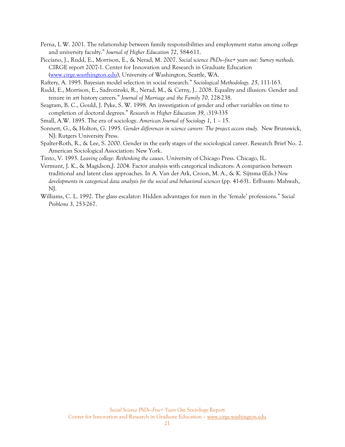- Perna, L W. 2001. The relationship between family responsibilities and employment status among college and university faculty." *Journal of Higher Education 72*, 584-611.
- Picciano, J., Rudd, E., Morrison, E., & Nerad, M. 2007. *Social science PhDs—five+ years out: Survey methods*. CIRGE report 2007-1. Center for Innovation and Research in Graduate Education [\(www.cirge.wasthington.edu\)](http://www.cirge.wasthington.edu/), University of Washington, Seattle, WA.

Raftery, A. 1995. Bayesian model selection in social research." *Sociological Methodology*. *25*, 111-163.

- Rudd, E., Morrison, E., Sadrozinski, R., Nerad, M., & Cerny, J.. 2008. Equality and illusion: Gender and tenure in art history careers." *Journal of Marriage and the Family 70,* 228-238.
- Seagram, B. C., Gould, J. Pyke, S. W. 1998. An investigation of gender and other variables on time to completion of doctoral degrees." *Research in Higher Education 39,* :319-335
- Small, A.W. 1895. The era of sociology. *American Journal of Sociology 1,* 1 15.
- Sonnert, G., & Holton, G. 1995. *Gender differences in science careers: The project access study.* New Brunswick, NJ: Rutgers University Press.
- Spalter-Roth, R., & Lee, S. 2000. Gender in the early stages of the sociological career. Research Brief No. 2. American Sociological Association: New York.
- Tinto, V. 1993. *Leaving college: Rethinking the causes*. University of Chicago Press. Chicago, IL.
- Vermunt, J. K., & Magidson,J. 2004. Factor analysis with categorical indicators: A comparison between traditional and latent class approaches. In A. Van der Ark, Croon, M. A., & K. Sijtsma (Eds.) *New developments in categorical data analysis for the social and behavioral sciences* (pp. 41-63).. Erlbaum: Mahwah, NJ.
- Williams, C. L. 1992. The glass escalator: Hidden advantages for men in the 'female' professions." *Social Problems 3,* 253-267.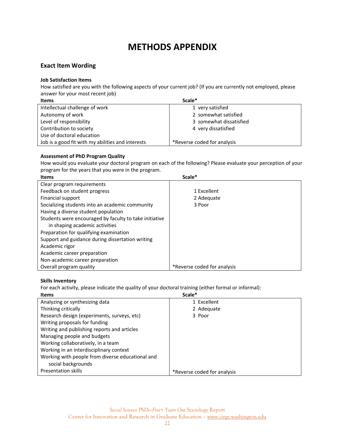# **METHODS APPENDIX**

# **Exact Item Wording**

### **Job Satisfaction Items**

How satisfied are you with the following aspects of your current job? (If you are currently not employed, please answer for your most recent job)

| Items                                             | Scale*                      |
|---------------------------------------------------|-----------------------------|
| Intellectual challenge of work                    | 1 very satisfied            |
| Autonomy of work                                  | 2 somewhat satisfied        |
| Level of responsibility                           | 3 somewhat dissatisfied     |
| Contribution to society                           | 4 very dissatisfied         |
| Use of doctoral education                         |                             |
| Job is a good fit with my abilities and interests | *Reverse coded for analysis |

### **Assessment of PhD Program Quality**

How would you evaluate your doctoral program on each of the following? Please evaluate your perception of your program for the years that you were in the program.

| <b>Items</b>                                           | Scale*                      |
|--------------------------------------------------------|-----------------------------|
| Clear program requirements                             |                             |
| Feedback on student progress                           | 1 Excellent                 |
| Financial support                                      | 2 Adequate                  |
| Socializing students into an academic community        | 3 Poor                      |
| Having a diverse student population                    |                             |
| Students were encouraged by faculty to take initiative |                             |
| in shaping academic activities                         |                             |
| Preparation for qualifying examination                 |                             |
| Support and guidance during dissertation writing       |                             |
| Academic rigor                                         |                             |
| Academic career preparation                            |                             |
| Non-academic career preparation                        |                             |
| Overall program quality                                | *Reverse coded for analysis |

### **Skills Inventory**

For each activity, please indicate the quality of your doctoral training (either formal or informal):

| <b>Items</b>                                     | Scale*                      |
|--------------------------------------------------|-----------------------------|
| Analyzing or synthesizing data                   | 1 Excellent                 |
| Thinking critically                              | 2 Adequate                  |
| Research design (experiments, surveys, etc)      | 3 Poor                      |
| Writing proposals for funding                    |                             |
| Writing and publishing reports and articles      |                             |
| Managing people and budgets                      |                             |
| Working collaboratively, in a team               |                             |
| Working in an interdisciplinary context          |                             |
| Working with people from diverse educational and |                             |
| social backgrounds                               |                             |
| <b>Presentation skills</b>                       | *Reverse coded for analysis |
|                                                  |                             |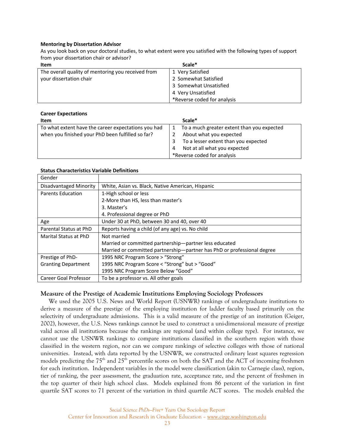#### **Mentoring by Dissertation Advisor**

As you look back on your doctoral studies, to what extent were you satisfied with the following types of support from your dissertation chair or advisor?

| Item                                               | Scale*                      |
|----------------------------------------------------|-----------------------------|
| The overall quality of mentoring you received from | 1 Very Satisfied            |
| your dissertation chair                            | 2 Somewhat Satisfied        |
|                                                    | 3 Somewhat Unsatisfied      |
|                                                    | 4 Very Unsatisfied          |
|                                                    | *Reverse coded for analysis |

|                | <b>Career Expectations</b> |
|----------------|----------------------------|
| $H_{\rm{max}}$ |                            |

| Item                                                | Scale*                                     |
|-----------------------------------------------------|--------------------------------------------|
| To what extent have the career expectations you had | To a much greater extent than you expected |
| when you finished your PhD been fulfilled so far?   | About what you expected                    |
|                                                     | To a lesser extent than you expected       |
|                                                     | Not at all what you expected<br>4          |
|                                                     | *Reverse coded for analysis                |

#### **Status Characteristics Variable Definitions**

| Gender                     |                                                                         |
|----------------------------|-------------------------------------------------------------------------|
| Disadvantaged Minority     | White, Asian vs. Black, Native American, Hispanic                       |
| <b>Parents Education</b>   | 1-High school or less                                                   |
|                            | 2-More than HS, less than master's                                      |
|                            | 3. Master's                                                             |
|                            | 4. Professional degree or PhD                                           |
| Age                        | Under 30 at PhD, between 30 and 40, over 40                             |
| Parental Status at PhD     | Reports having a child (of any age) vs. No child                        |
| Marital Status at PhD      | Not married                                                             |
|                            | Married or committed partnership-partner less educated                  |
|                            | Married or committed partnership-partner has PhD or professional degree |
| Prestige of PhD-           | 1995 NRC Program Score > "Strong"                                       |
| <b>Granting Department</b> | 1995 NRC Program Score < "Strong" but > "Good"                          |
|                            | 1995 NRC Program Score Below "Good"                                     |
| Career Goal Professor      | To be a professor vs. All other goals                                   |

### **Measure of the Prestige of Academic Institutions Employing Sociology Professors**

We used the 2005 U.S. News and World Report (USNWR) rankings of undergraduate institutions to derive a measure of the prestige of the employing institution for ladder faculty based primarily on the selectivity of undergraduate admissions. This is a valid measure of the prestige of an institution (Geiger, 2002), however, the U.S. News rankings cannot be used to construct a uni-dimensional measure of prestige valid across all institutions because the rankings are regional (and within college type). For instance, we cannot use the USNWR rankings to compare institutions classified in the southern region with those classified in the western region, nor can we compare rankings of selective colleges with those of national universities. Instead, with data reported by the USNWR, we constructed ordinary least squares regression models predicting the 75<sup>th</sup> and 25<sup>th</sup> percentile scores on both the SAT and the ACT of incoming freshmen for each institution. Independent variables in the model were classification (akin to Carnegie class), region, tier of ranking, the peer assessment, the graduation rate, acceptance rate, and the percent of freshmen in the top quarter of their high school class. Models explained from 86 percent of the variation in first quartile SAT scores to 71 percent of the variation in third quartile ACT scores. The models enabled the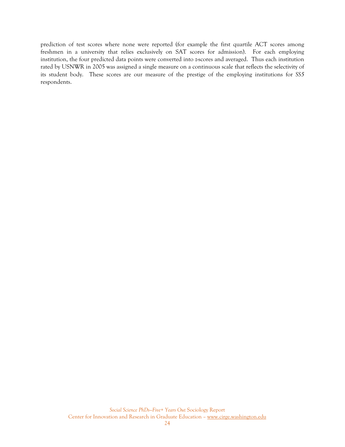prediction of test scores where none were reported (for example the first quartile ACT scores among freshmen in a university that relies exclusively on SAT scores for admission). For each employing institution, the four predicted data points were converted into z-scores and averaged. Thus each institution rated by USNWR in 2005 was assigned a single measure on a continuous scale that reflects the selectivity of its student body. These scores are our measure of the prestige of the employing institutions for *SS5*  respondents.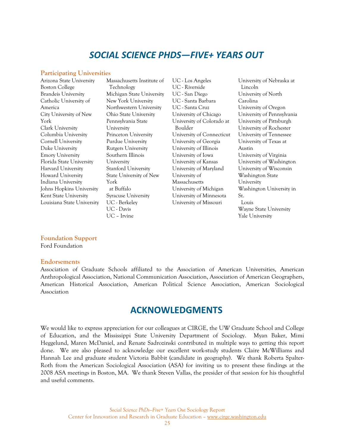# *SOCIAL SCIENCE PHDS—FIVE+ YEARS OUT*

#### **Participating Universities**

| Arizona State University   | Massachusetts Institute of | UC - Los Angeles          | University of Nebraska at  |
|----------------------------|----------------------------|---------------------------|----------------------------|
| <b>Boston College</b>      | Technology                 | UC - Riverside            | Lincoln                    |
| <b>Brandeis University</b> | Michigan State University  | UC - San Diego            | University of North        |
| Catholic University of     | New York University        | UC - Santa Barbara        | Carolina                   |
| America                    | Northwestern University    | UC - Santa Cruz           | University of Oregon       |
| City University of New     | Ohio State University      | University of Chicago     | University of Pennsylvania |
| York                       | Pennsylvania State         | University of Colorado at | University of Pittsburgh   |
| Clark University           | University                 | Boulder                   | University of Rochester    |
| Columbia University        | Princeton University       | University of Connecticut | University of Tennessee    |
| Cornell University         | Purdue University          | University of Georgia     | University of Texas at     |
| Duke University            | <b>Rutgers University</b>  | University of Illinois    | Austin                     |
| <b>Emory University</b>    | Southern Illinois          | University of Iowa        | University of Virginia     |
| Florida State University   | University                 | University of Kansas      | University of Washington   |
| Harvard University         | Stanford University        | University of Maryland    | University of Wisconsin    |
| Howard University          | State University of New    | University of             | Washington State           |
| Indiana University         | York                       | Massachusetts             | University                 |
| Johns Hopkins University   | at Buffalo                 | University of Michigan    | Washington University in   |
| Kent State University      | <b>Syracuse University</b> | University of Minnesota   | St.                        |
| Louisiana State University | UC - Berkeley              | University of Missouri    | Louis                      |
|                            | UC - Davis                 |                           | Wayne State University     |
|                            | UC – Irvine                |                           | Yale Universitv            |

**Foundation Support**  Ford Foundation

#### **Endorsements**

Association of Graduate Schools affiliated to the Association of American Universities, American Anthropological Association, National Communication Association, Association of American Geographers, American Historical Association, American Political Science Association, American Sociological Association

# **ACKNOWLEDGMENTS**

We would like to express appreciation for our colleagues at CIRGE, the UW Graduate School and College of Education, and the Mississippi State University Department of Sociology. Myan Baker, Mimi Heggelund, Maren McDaniel, and Renate Sadrozinski contributed in multiple ways to getting this report done. We are also pleased to acknowledge our excellent work-study students Claire McWilliams and Hannah Lee and graduate student Victoria Babbit (candidate in geography). We thank Roberta Spalter-Roth from the American Sociological Association (ASA) for inviting us to present these findings at the 2008 ASA meetings in Boston, MA. We thank Steven Vallas, the presider of that session for his thoughtful and useful comments.